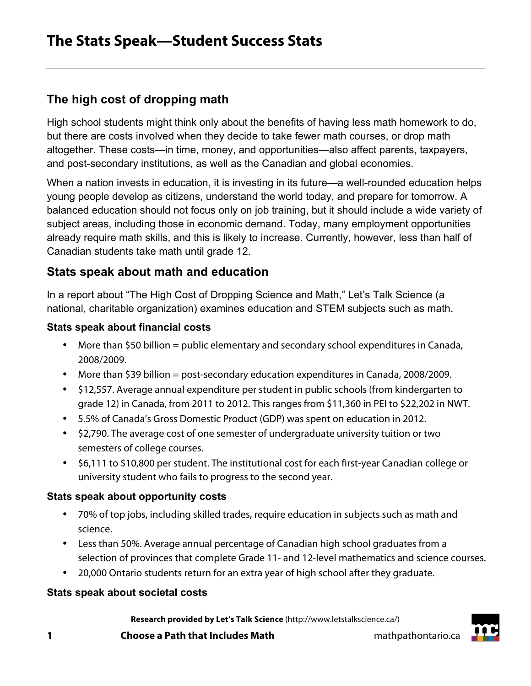# **The high cost of dropping math**

High school students might think only about the benefits of having less math homework to do, but there are costs involved when they decide to take fewer math courses, or drop math altogether. These costs—in time, money, and opportunities—also affect parents, taxpayers, and post-secondary institutions, as well as the Canadian and global economies.

When a nation invests in education, it is investing in its future—a well-rounded education helps young people develop as citizens, understand the world today, and prepare for tomorrow. A balanced education should not focus only on job training, but it should include a wide variety of subject areas, including those in economic demand. Today, many employment opportunities already require math skills, and this is likely to increase. Currently, however, less than half of Canadian students take math until grade 12.

### **Stats speak about math and education**

In a report about "The High Cost of Dropping Science and Math," Let's Talk Science (a national, charitable organization) examines education and STEM subjects such as math.

#### **Stats speak about financial costs**

- More than \$50 billion = public elementary and secondary school expenditures in Canada, 2008/2009.
- More than \$39 billion = post-secondary education expenditures in Canada, 2008/2009.
- \$12,557. Average annual expenditure per student in public schools (from kindergarten to grade 12) in Canada, from 2011 to 2012. This ranges from \$11,360 in PEI to \$22,202 in NWT.
- 5.5% of Canada's Gross Domestic Product (GDP) was spent on education in 2012.
- \$2,790. The average cost of one semester of undergraduate university tuition or two semesters of college courses.
- \$6,111 to \$10,800 per student. The institutional cost for each first-year Canadian college or university student who fails to progress to the second year.

#### **Stats speak about opportunity costs**

- 70% of top jobs, including skilled trades, require education in subjects such as math and science.
- Less than 50%. Average annual percentage of Canadian high school graduates from a selection of provinces that complete Grade 11- and 12-level mathematics and science courses.
- 20,000 Ontario students return for an extra year of high school after they graduate.

#### **Stats speak about societal costs**

**Research provided by Let's Talk Science** (http://www.letstalkscience.ca/)

**1 Choose a Path that Includes Math mathpathontario.ca**